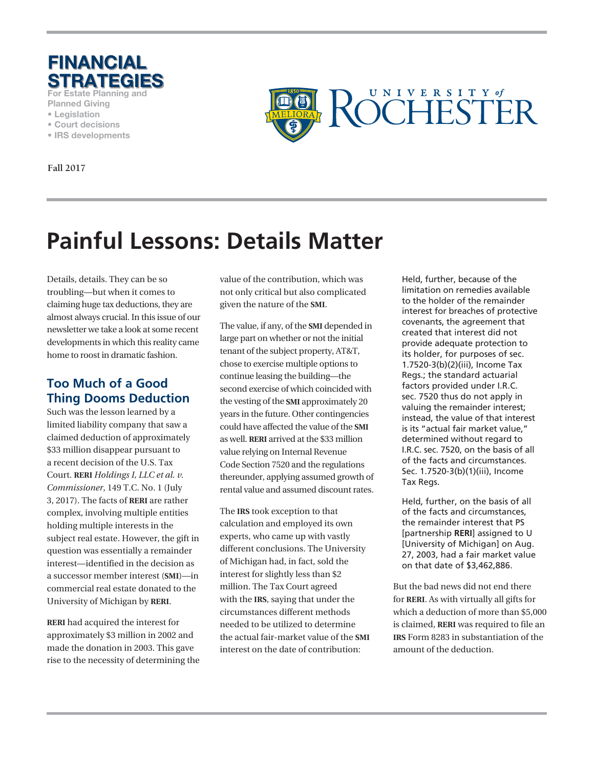

**For Estate Planning and** 

- **Planned Giving**
- **Legislation**
- **Court decisions**
- **IRS developments**

**Fall 2017**



# **Painful Lessons: Details Matter**

Details, details. They can be so troubling—but when it comes to claiming huge tax deductions, they are almost always crucial. In this issue of our newsletter we take a look at some recent developments in which this reality came home to roost in dramatic fashion.

## **Too Much of a Good Thing Dooms Deduction**

Such was the lesson learned by a limited liability company that saw a claimed deduction of approximately \$33 million disappear pursuant to a recent decision of the U.S. Tax Court. **RERI** *Holdings I, LLC et al. v. Commissioner*, 149 T.C. No. 1 (July 3, 2017). The facts of **RERI** are rather complex, involving multiple entities holding multiple interests in the subject real estate. However, the gift in question was essentially a remainder interest—identified in the decision as a successor member interest (**SMI**)—in commercial real estate donated to the University of Michigan by **RERI**.

**RERI** had acquired the interest for approximately \$3 million in 2002 and made the donation in 2003. This gave rise to the necessity of determining the value of the contribution, which was not only critical but also complicated given the nature of the **SMI**.

The value, if any, of the **SMI** depended in large part on whether or not the initial tenant of the subject property, AT&T, chose to exercise multiple options to continue leasing the building—the second exercise of which coincided with the vesting of the **SMI** approximately 20 years in the future. Other contingencies could have affected the value of the **SMI** as well. **RERI** arrived at the \$33 million value relying on Internal Revenue Code Section 7520 and the regulations thereunder, applying assumed growth of rental value and assumed discount rates.

The **IRS** took exception to that calculation and employed its own experts, who came up with vastly different conclusions. The University of Michigan had, in fact, sold the interest for slightly less than \$2 million. The Tax Court agreed with the **IRS**, saying that under the circumstances different methods needed to be utilized to determine the actual fair-market value of the **SMI** interest on the date of contribution:

Held, further, because of the limitation on remedies available to the holder of the remainder interest for breaches of protective covenants, the agreement that created that interest did not provide adequate protection to its holder, for purposes of sec. 1.7520-3(b)(2)(iii), Income Tax Regs.; the standard actuarial factors provided under I.R.C. sec. 7520 thus do not apply in valuing the remainder interest; instead, the value of that interest is its "actual fair market value," determined without regard to I.R.C. sec. 7520, on the basis of all of the facts and circumstances. Sec. 1.7520-3(b)(1)(iii), Income Tax Regs.

Held, further, on the basis of all of the facts and circumstances, the remainder interest that PS [partnership **RERI**] assigned to U [University of Michigan] on Aug. 27, 2003, had a fair market value on that date of \$3,462,886.

But the bad news did not end there for **RERI**. As with virtually all gifts for which a deduction of more than \$5,000 is claimed, **RERI** was required to file an **IRS** Form 8283 in substantiation of the amount of the deduction.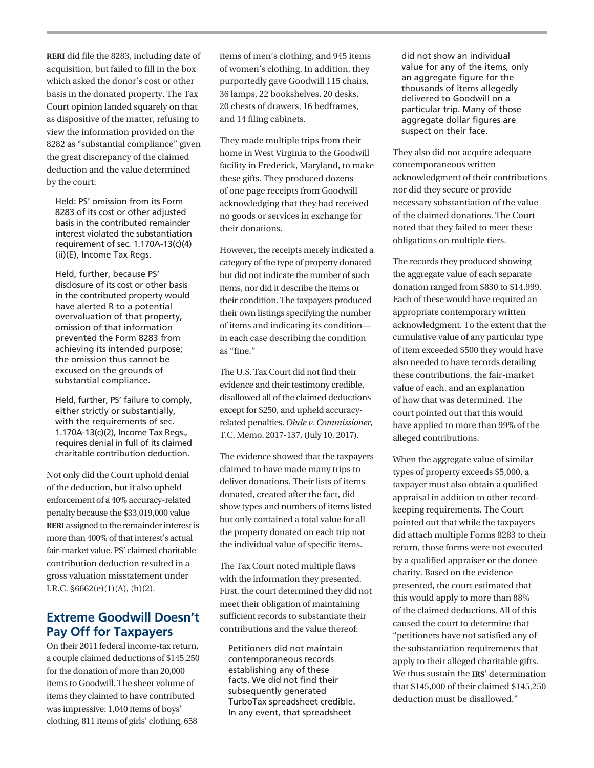**RERI** did file the 8283, including date of acquisition, but failed to fill in the box which asked the donor's cost or other basis in the donated property. The Tax Court opinion landed squarely on that as dispositive of the matter, refusing to view the information provided on the 8282 as "substantial compliance" given the great discrepancy of the claimed deduction and the value determined by the court:

Held: PS' omission from its Form 8283 of its cost or other adjusted basis in the contributed remainder interest violated the substantiation requirement of sec. 1.170A-13(c)(4) (ii)(E), Income Tax Regs.

Held, further, because PS' disclosure of its cost or other basis in the contributed property would have alerted R to a potential overvaluation of that property, omission of that information prevented the Form 8283 from achieving its intended purpose; the omission thus cannot be excused on the grounds of substantial compliance.

Held, further, PS' failure to comply, either strictly or substantially, with the requirements of sec. 1.170A-13(c)(2), Income Tax Regs., requires denial in full of its claimed charitable contribution deduction.

Not only did the Court uphold denial of the deduction, but it also upheld enforcement of a 40% accuracy-related penalty because the \$33,019,000 value **RERI** assigned to the remainder interest is more than 400% of that interest's actual fair-market value. PS' claimed charitable contribution deduction resulted in a gross valuation misstatement under I.R.C.  $$6662(e)(1)(A), (h)(2)$ .

#### **Extreme Goodwill Doesn't Pay Off for Taxpayers**

On their 2011 federal income-tax return, a couple claimed deductions of \$145,250 for the donation of more than 20,000 items to Goodwill. The sheer volume of items they claimed to have contributed was impressive: 1,040 items of boys' clothing, 811 items of girls' clothing, 658

items of men's clothing, and 945 items of women's clothing. In addition, they purportedly gave Goodwill 115 chairs, 36 lamps, 22 bookshelves, 20 desks, 20 chests of drawers, 16 bedframes, and 14 filing cabinets.

They made multiple trips from their home in West Virginia to the Goodwill facility in Frederick, Maryland, to make these gifts. They produced dozens of one page receipts from Goodwill acknowledging that they had received no goods or services in exchange for their donations.

However, the receipts merely indicated a category of the type of property donated but did not indicate the number of such items, nor did it describe the items or their condition. The taxpayers produced their own listings specifying the number of items and indicating its condition in each case describing the condition as "fine."

The U.S. Tax Court did not find their evidence and their testimony credible, disallowed all of the claimed deductions except for \$250, and upheld accuracyrelated penalties. *Ohde v. Commissioner*, T.C. Memo. 2017-137, (July 10, 2017).

The evidence showed that the taxpayers claimed to have made many trips to deliver donations. Their lists of items donated, created after the fact, did show types and numbers of items listed but only contained a total value for all the property donated on each trip not the individual value of specific items.

The Tax Court noted multiple flaws with the information they presented. First, the court determined they did not meet their obligation of maintaining sufficient records to substantiate their contributions and the value thereof:

Petitioners did not maintain contemporaneous records establishing any of these facts. We did not find their subsequently generated TurboTax spreadsheet credible. In any event, that spreadsheet

did not show an individual value for any of the items, only an aggregate figure for the thousands of items allegedly delivered to Goodwill on a particular trip. Many of those aggregate dollar figures are suspect on their face.

They also did not acquire adequate contemporaneous written acknowledgment of their contributions nor did they secure or provide necessary substantiation of the value of the claimed donations. The Court noted that they failed to meet these obligations on multiple tiers.

The records they produced showing the aggregate value of each separate donation ranged from \$830 to \$14,999. Each of these would have required an appropriate contemporary written acknowledgment. To the extent that the cumulative value of any particular type of item exceeded \$500 they would have also needed to have records detailing these contributions, the fair-market value of each, and an explanation of how that was determined. The court pointed out that this would have applied to more than 99% of the alleged contributions.

When the aggregate value of similar types of property exceeds \$5,000, a taxpayer must also obtain a qualified appraisal in addition to other recordkeeping requirements. The Court pointed out that while the taxpayers did attach multiple Forms 8283 to their return, those forms were not executed by a qualified appraiser or the donee charity. Based on the evidence presented, the court estimated that this would apply to more than 88% of the claimed deductions. All of this caused the court to determine that "petitioners have not satisfied any of the substantiation requirements that apply to their alleged charitable gifts. We thus sustain the **IRS**' determination that \$145,000 of their claimed \$145,250 deduction must be disallowed."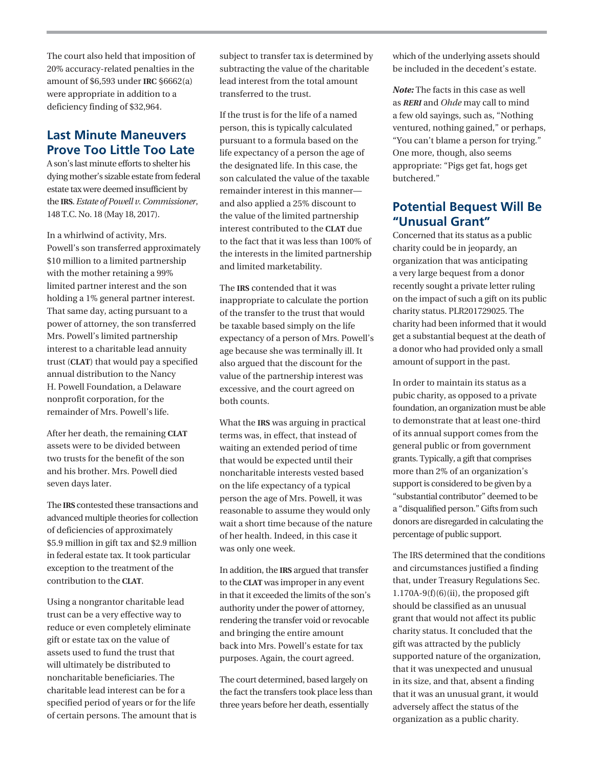The court also held that imposition of 20% accuracy-related penalties in the amount of \$6,593 under **IRC** §6662(a) were appropriate in addition to a deficiency finding of \$32,964.

### **Last Minute Maneuvers Prove Too Little Too Late**

A son's last minute efforts to shelter his dying mother's sizable estate from federal estate tax were deemed insufficient by the **IRS**. *Estate of Powell v. Commissioner*, 148 T.C. No. 18 (May 18, 2017).

In a whirlwind of activity, Mrs. Powell's son transferred approximately \$10 million to a limited partnership with the mother retaining a 99% limited partner interest and the son holding a 1% general partner interest. That same day, acting pursuant to a power of attorney, the son transferred Mrs. Powell's limited partnership interest to a charitable lead annuity trust (**CLAT**) that would pay a specified annual distribution to the Nancy H. Powell Foundation, a Delaware nonprofit corporation, for the remainder of Mrs. Powell's life.

After her death, the remaining **CLAT** assets were to be divided between two trusts for the benefit of the son and his brother. Mrs. Powell died seven days later.

The **IRS** contested these transactions and advanced multiple theories for collection of deficiencies of approximately \$5.9 million in gift tax and \$2.9 million in federal estate tax. It took particular exception to the treatment of the contribution to the **CLAT**.

Using a nongrantor charitable lead trust can be a very effective way to reduce or even completely eliminate gift or estate tax on the value of assets used to fund the trust that will ultimately be distributed to noncharitable beneficiaries. The charitable lead interest can be for a specified period of years or for the life of certain persons. The amount that is subject to transfer tax is determined by subtracting the value of the charitable lead interest from the total amount transferred to the trust.

If the trust is for the life of a named person, this is typically calculated pursuant to a formula based on the life expectancy of a person the age of the designated life. In this case, the son calculated the value of the taxable remainder interest in this manner and also applied a 25% discount to the value of the limited partnership interest contributed to the **CLAT** due to the fact that it was less than 100% of the interests in the limited partnership and limited marketability.

The **IRS** contended that it was inappropriate to calculate the portion of the transfer to the trust that would be taxable based simply on the life expectancy of a person of Mrs. Powell's age because she was terminally ill. It also argued that the discount for the value of the partnership interest was excessive, and the court agreed on both counts.

What the **IRS** was arguing in practical terms was, in effect, that instead of waiting an extended period of time that would be expected until their noncharitable interests vested based on the life expectancy of a typical person the age of Mrs. Powell, it was reasonable to assume they would only wait a short time because of the nature of her health. Indeed, in this case it was only one week.

In addition, the **IRS** argued that transfer to the **CLAT** was improper in any event in that it exceeded the limits of the son's authority under the power of attorney, rendering the transfer void or revocable and bringing the entire amount back into Mrs. Powell's estate for tax purposes. Again, the court agreed.

The court determined, based largely on the fact the transfers took place less than three years before her death, essentially

which of the underlying assets should be included in the decedent's estate.

*Note:* The facts in this case as well as *RERI* and *Ohde* may call to mind a few old sayings, such as, "Nothing ventured, nothing gained," or perhaps, "You can't blame a person for trying." One more, though, also seems appropriate: "Pigs get fat, hogs get butchered."

#### **Potential Bequest Will Be "Unusual Grant"**

Concerned that its status as a public charity could be in jeopardy, an organization that was anticipating a very large bequest from a donor recently sought a private letter ruling on the impact of such a gift on its public charity status. PLR201729025. The charity had been informed that it would get a substantial bequest at the death of a donor who had provided only a small amount of support in the past.

In order to maintain its status as a pubic charity, as opposed to a private foundation, an organization must be able to demonstrate that at least one-third of its annual support comes from the general public or from government grants. Typically, a gift that comprises more than 2% of an organization's support is considered to be given by a "substantial contributor" deemed to be a "disqualified person." Gifts from such donors are disregarded in calculating the percentage of public support.

The IRS determined that the conditions and circumstances justified a finding that, under Treasury Regulations Sec.  $1.170A-9(f)(6)(ii)$ , the proposed gift should be classified as an unusual grant that would not affect its public charity status. It concluded that the gift was attracted by the publicly supported nature of the organization, that it was unexpected and unusual in its size, and that, absent a finding that it was an unusual grant, it would adversely affect the status of the organization as a public charity.